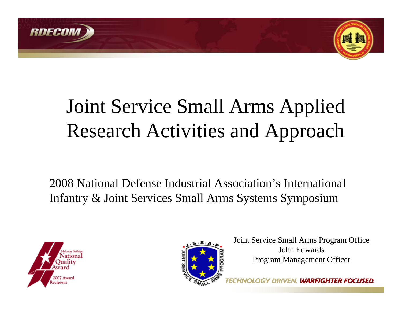



# Joint Service Small Arms Applied Research Activities and Approach

2008 National Defense Industrial Association's International Infantry & Joint Services Small Arms Systems Symposium





Joint Service Small Arms Program Office John EdwardsProgram Management Officer

**HTER FOCUSED.**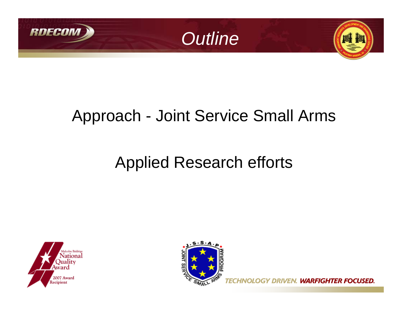



### Approach - Joint Service Small Arms

## Applied Research efforts





**GY DRIVEN. WARFIGHTER FOCUSED.**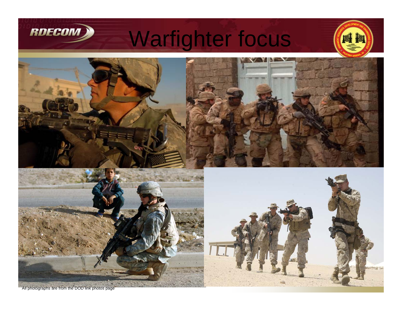

Warfighter focus





All photographs are from the DOD link photos page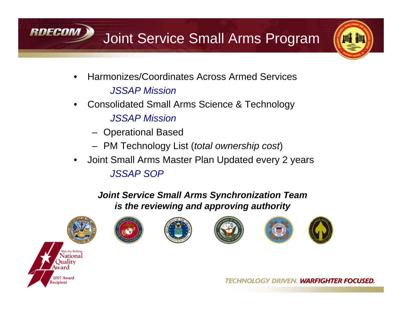



- • Harmonizes/Coordinates Across Armed Services*JSSAP Mission*
- • Consolidated Small Arms Science & Technology *JSSAP Mission*
	- –Operational Based
	- PM Technology List (*total ownership cost*)
- $\bullet$  Joint Small Arms Master Plan Updated every 2 years *JSSAP SOP*

*Joint Service Small Arms Synchronization Team is the reviewing and approving authority*



RDECOM











TECHNOLOGY DRIVEN. WARFIGHTER FOCUSED.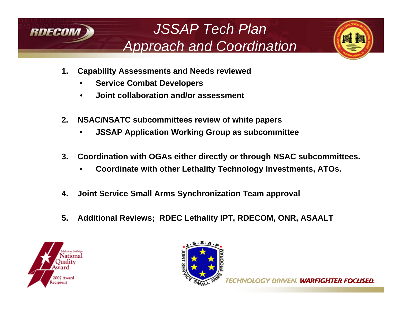

### *JSSAP Tech Plan Approach and Coordination*



- **1. Capability Assessments and Needs reviewed** 
	- •**Service Combat Developers**
	- •**Joint collaboration and/or assessment**
- **2. NSAC/NSATC subcommittees review of white papers**
	- •**JSSAP Application Working Group as subcommittee**
- **3. Coordination with OGAs either directly or through NSAC subcommittees.**
	- •**Coordinate with other Lethality Technology Investments, ATOs.**
- **4. Joint Service Small Arms Synchronization Team approval**
- **5. Additional Reviews; RDEC Lethality IPT, RDECOM, ONR, ASAALT**



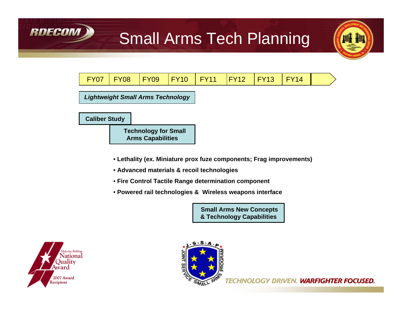

### Small Arms Tech Planning



- **Lethality (ex. Miniature prox fuze components; Frag improvements)**
- **Advanced materials & recoil technologies**
- **Fire Control Tactile Range determination component**
- **Powered rail technologies & Wireless weapons interface**

**Small Arms New Concepts & Technology Capabilities**



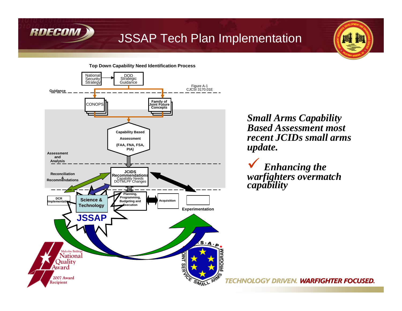

#### JSSAP Tech Plan Implementation



*Small Arms Capability Based Assessment most recent JCIDs small arms update.*

 $\checkmark$  *Enhancing the warfighters overmatch capability* 

**HNOLOGY DRIVEN. WARFIGHTER FOCUSED.**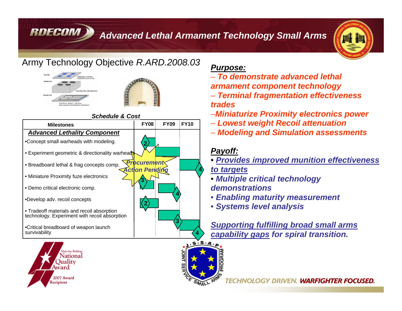*Advanced Lethal Armament Technology Small Arms*



#### Army Technology Objective *R.ARD.2008.03*

RDECOM



#### *Schedule & Cost*





#### *Purpose:*

- *To demonstrate advanced lethal armament component technology*
- *Terminal fragmentation effectiveness trades*
- –*Miniaturize Proximity electronics power*
- *Lowest weight Recoil attenuation*
- *Modeling and Simulation assessments*

#### *Payoff:*

- *Provides improved munition effectiveness to targets*
- *Multiple critical technology demonstrations*
- *Enabling maturity measurement*
- *Systems level analysis*

*Supporting fulfilling broad small arms capability gaps for spiral transition.* 



**4**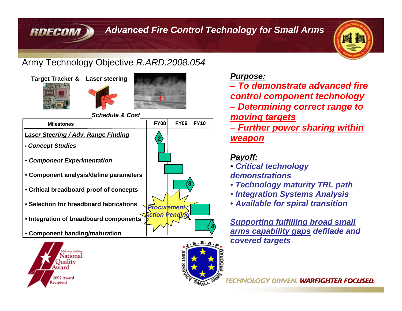#### *Advanced Fire Control Technology for Small Arms*



#### Army Technology Objective *R.ARD.2008.054*



RDECOM





*Schedule & Cost*





#### *Purpose:*

- *To demonstrate advanced fire control component technology*
- *Determining correct range to moving targets*
- *Further power sharing within weapon*

#### *Payoff:*

- *Critical technology demonstrations*
- *Technology maturity TRL path*
- *Integration Systems Analysis*
- *Available for spiral transition*

*Supporting fulfilling broad small arms capability gaps defilade and covered targets*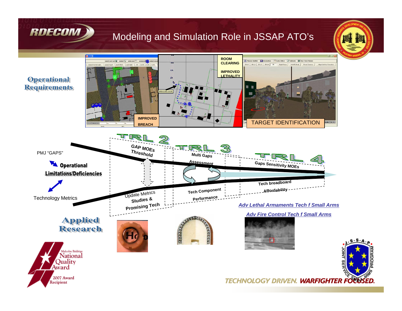

#### Modeling and Simulation Role in JSSAP ATO's

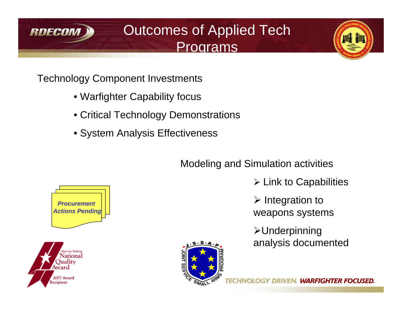

Outcomes of Applied Tech Programs



Technology Component Investments

- Warfighter Capability focus
- Critical Technology Demonstrations
- System Analysis Effectiveness

### Modeling and Simulation activities

- $\triangleright$  Link to Capabilities
- $\triangleright$  Integration to weapons systems
- ¾Underpinning analysis documented



*Procurement Actions Pending*



**DRIVEN. WARFIGHTER FOCUSED.**